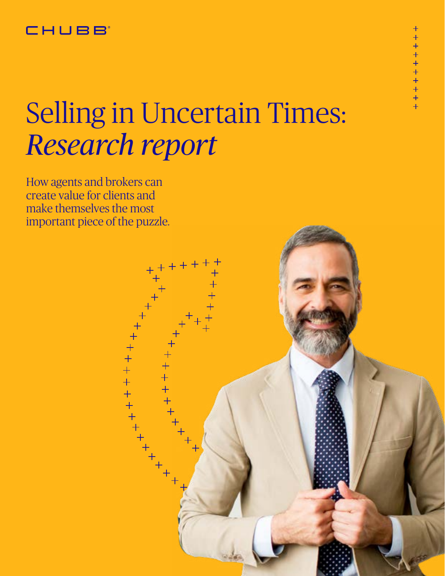#### **CHUBB**

# Selling in Uncertain Times: *Research report*

How agents and brokers can create value for clients and make themselves the most important piece of the puzzle.

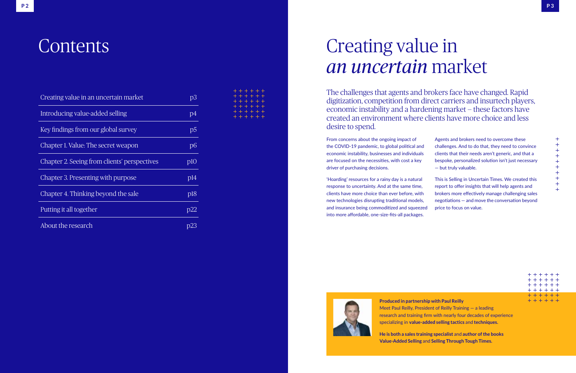## **Contents**

| Creating value in an uncertain market        | p3              |
|----------------------------------------------|-----------------|
| Introducing value-added selling              | p4              |
| Key findings from our global survey          | p <sub>5</sub>  |
| Chapter 1. Value: The secret weapon          | $\overline{D6}$ |
| Chapter 2. Seeing from clients' perspectives | plO             |
| Chapter 3. Presenting with purpose           | p14             |
| Chapter 4. Thinking beyond the sale          | p18             |
| Putting it all together                      | p22             |
| About the research                           |                 |

| .             |  |
|---------------|--|
| + + + + + +   |  |
| $+ + + + + +$ |  |
| $+ + + + + +$ |  |
| + + + + + +   |  |
| $+ + + + + +$ |  |

# Creating value in *an uncertain* market

**Produced in partnership with Paul Reilly**  Meet Paul Reilly, President of Reilly Training — a leading research and training firm with nearly four decades of experience specializing in **value-added selling tactics** and **techniques.** 

**He is both a sales training specialist** and **author of the books Value-Added Selling** and **Selling Through Tough Times.**

From concerns about the ongoing impact of the COVID-19 pandemic, to global political and economic instability, businesses and individuals are focused on the necessities, with cost a key driver of purchasing decisions.

'Hoarding' resources for a rainy day is a natural response to uncertainty. And at the same time, clients have more choice than ever before, with new technologies disrupting traditional models, and insurance being commoditized and squeezed into more affordable, one-size-fits-all packages.



|   | Agents and brokers need to overcome these                                                                                                                                                                         |                     |
|---|-------------------------------------------------------------------------------------------------------------------------------------------------------------------------------------------------------------------|---------------------|
|   | challenges. And to do that, they need to convince                                                                                                                                                                 | $\,+\,$             |
|   | clients that their needs aren't generic, and that a                                                                                                                                                               | $^+$<br>$^{+}$      |
|   | bespoke, personalized solution isn't just necessary                                                                                                                                                               | $^+$                |
|   | $-$ but truly valuable.                                                                                                                                                                                           | $\,+\,$<br>$\,+\,$  |
|   | This is Selling in Uncertain Times. We created this<br>report to offer insights that will help agents and<br>brokers more effectively manage challenging sales<br>negotiations – and move the conversation beyond | $^+$<br>┿<br>$^{+}$ |
| d | price to focus on value.                                                                                                                                                                                          |                     |

| $+ + + + + +$ |  |
|---------------|--|
| + + + + + +   |  |
| + + + + + +   |  |
| $+ + + + + +$ |  |
| + + + + + +   |  |
| + + + + + +   |  |

The challenges that agents and brokers face have changed. Rapid digitization, competition from direct carriers and insurtech players, economic instability and a hardening market — these factors have created an environment where clients have more choice and less desire to spend.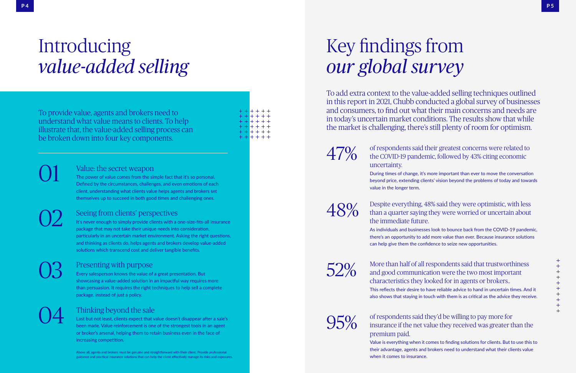# Introducing *value-added selling*

To provide value, agents and brokers need to understand what value means to clients. To help illustrate that, the value-added selling process can be broken down into four key components.

> Value: the secret weapon The power of value comes from the simple fact that it's so personal. Defined by the circumstances, challenges, and even emotions of each client, understanding what clients value helps agents and brokers set themselves up to succeed in both good times and challenging ones.

01

Seeing from clients' perspectives

It's never enough to simply provide clients with a one-size-fits-all insurance package that may not take their unique needs into consideration, particularly in an uncertain market environment. Asking the right questions, and thinking as clients do, helps agents and brokers develop value-added solutions which transcend cost and deliver tangible benefits.

02

#### Presenting with purpose

47% of respondents said their greatest concerns were related to the COVID-19 pandemic, followed by 43% citing economic uncertainty.

Every salesperson knows the value of a great presentation. But showcasing a value-added solution in an impactful way requires more than persuasion. It requires the right techniques to help sell a complete package, instead of just a policy.

03

#### Thinking beyond the sale

48% Despite everything, 48% said they were optimistic, with less than a quarter saying they were worried or uncertain about the immediate future. As individuals and businesses look to bounce back from the COVID-19 pandemic, there's an opportunity to add more value than ever. Because insurance solutions can help give them the confidence to seize new opportunities.

 $52\%$  More than half of all and good communic and good communic characteristics they This reflects their desire to also shows that staying in

Last but not least, clients expect that value doesn't disappear after a sale's been made. Value reinforcement is one of the strongest tools in an agent or broker's arsenal, helping them to retain business even in the face of increasing competition.

04

# Key findings from *our global survey*

To add extra context to the value-added selling techniques outlined in this report in 2021, Chubb conducted a global survey of businesses and consumers, to find out what their main concerns and needs are in today's uncertain market conditions. The results show that while the market is challenging, there's still plenty of room for optimism.

During times of change, it's more important than ever to move the conversation beyond price, extending clients' vision beyond the problems of today and towards

| respondents said that trustworthiness                      | ┭<br>$+$          |
|------------------------------------------------------------|-------------------|
| cation were the two most important                         | $\,$              |
| looked for in agents or brokers                            | $\pm$<br>$^{+}$   |
| have reliable advice to hand in uncertain times. And it    | $\,+\,$<br>$^{+}$ |
| touch with them is as critical as the advice they receive. | $+$               |
|                                                            | $\div$            |

 $95\%$  of respondents said they'd be willing to pay more for insurance if the net value they received was greater than the

value in the longer term.

premium paid.

Value is everything when it comes to finding solutions for clients. But to use this to their advantage, agents and brokers need to understand what their clients value when it comes to insurance.

Above all, agents and brokers must be genuine and straightforward with their client. Provide professional guidance and practical insurance solutions that can help the client effectively manage its risks and exposures.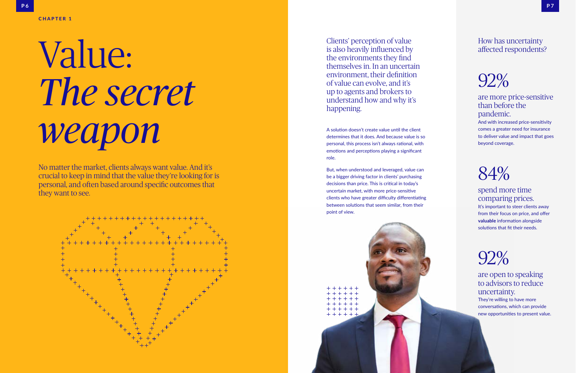# Value: *The secret weapon*

#### CHAPTER 1

A solution doesn't create value until the client determines that it does. And because value is so personal, this process isn't always rational, with emotions and perceptions playing a significant role.

But, when understood and leveraged, value can be a bigger driving factor in clients' purchasing decisions than price. This is critical in today's uncertain market, with more price-sensitive clients who have greater difficulty differentiating between solutions that seem similar, from their point of view.



No matter the market, clients always want value. And it's crucial to keep in mind that the value they're looking for is personal, and often based around specific outcomes that they want to see.



Clients' perception of value is also heavily influenced by the environments they find themselves in. In an uncertain environment, their definition of value can evolve, and it's up to agents and brokers to understand how and why it's happening.

#### How has uncertainty affected respondents?

92%

are more price-sensitive than before the pandemic.

And with increased price-sensitivity comes a greater need for insurance to deliver value and impact that goes beyond coverage.

## 84%

spend more time comparing prices. It's important to steer clients away from their focus on price, and offer **valuable** information alongside solutions that fit their needs.

## 92%

are open to speaking to advisors to reduce uncertainty.

They're willing to have more conversations, which can provide new opportunities to present value.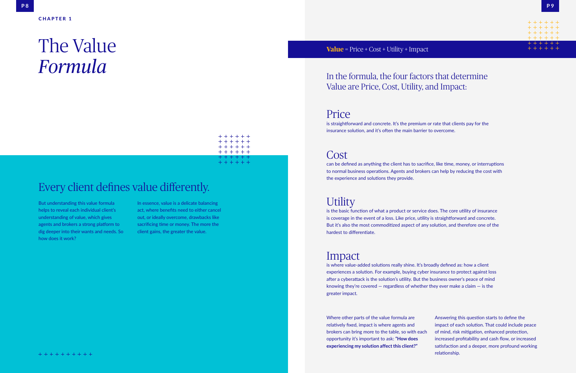### Every client defines value differently.

In the formula, the four factors that determine Value are Price, Cost, Utility, and Impact:

But understanding this value formula helps to reveal each individual client's understanding of value, which gives agents and brokers a strong platform to dig deeper into their wants and needs. So how does it work?

In essence, value is a delicate balancing act, where benefits need to either cancel out, or ideally overcome, drawbacks like sacrificing time or money. The more the client gains, the greater the value.

# The Value *Formula*

+ + + + + +

is straightforward and concrete. It's the premium or rate that clients pay for the insurance solution, and it's often the main barrier to overcome.

Where other parts of the value formula are relatively fixed, impact is where agents and brokers can bring more to the table, so with each opportunity it's important to ask: **"How does experiencing my solution affect this client?"** 

Answering this question starts to define the impact of each solution. That could include peace of mind, risk mitigation, enhanced protection, increased profitability and cash flow, or increased satisfaction and a deeper, more profound working relationship.





#### Price

### Cost

can be defined as anything the client has to sacrifice, like time, money, or interruptions to normal business operations. Agents and brokers can help by reducing the cost with the experience and solutions they provide.

#### **Utility**

is the basic function of what a product or service does. The core utility of insurance is coverage in the event of a loss. Like price, utility is straightforward and concrete. But it's also the most commoditized aspect of any solution, and therefore one of the hardest to differentiate.

#### Impact

is where value-added solutions really shine. It's broadly defined as: how a client experiences a solution. For example, buying cyber insurance to protect against loss after a cyberattack is the solution's utility. But the business owner's peace of mind knowing they're covered  $-$  regardless of whether they ever make a claim  $-$  is the greater impact.

#### **Value** = Price + Cost + Utility + Impact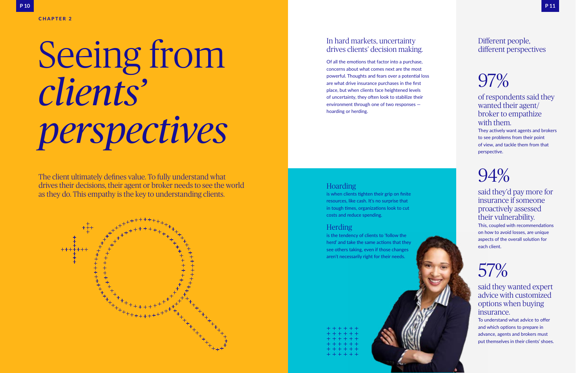# Seeing from *clients' perspectives*

The client ultimately defines value. To fully understand what drives their decisions, their agent or broker needs to see the world as they do. This empathy is the key to understanding clients.



#### Hoarding

is when clients tighten their grip on finite resources, like cash. It's no surprise that in tough times, organizations look to cut costs and reduce spending.

#### Herding

is the tendency of clients to 'follow the herd' and take the same actions that they see others taking, even if those changes aren't necessarily right for their needs.

| + + + + + +   |
|---------------|
| + + + + + +   |
| + + + + + +   |
| + + + + + +   |
| $+ + + + + +$ |
| + + + + + +   |

#### In hard markets, uncertainty drives clients' decision making.

Of all the emotions that factor into a purchase, concerns about what comes next are the most powerful. Thoughts and fears over a potential loss are what drive insurance purchases in the first place, but when clients face heightened levels of uncertainty, they often look to stabilize their environment through one of two responses hoarding or herding.

#### Different people, different perspectives

# 97%

#### of respondents said they wanted their agent/ broker to empathize with them.

They actively want agents and brokers to see problems from their point of view, and tackle them from that perspective.

# 94%

said they'd pay more for insurance if someone proactively assessed their vulnerability.

This, coupled with recommendations on how to avoid losses, are unique aspects of the overall solution for each client.

# 57%

said they wanted expert advice with customized options when buying insurance.

To understand what advice to offer and which options to prepare in advance, agents and brokers must put themselves in their clients' shoes.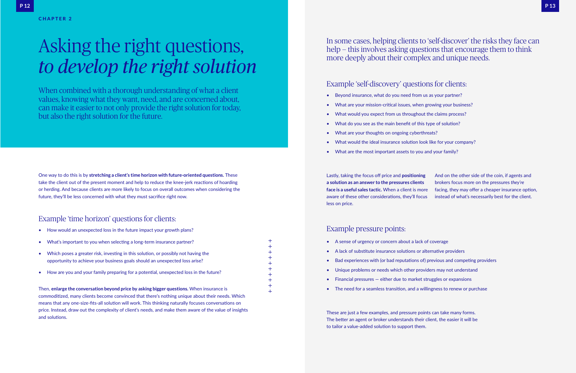One way to do this is by **stretching a client's time horizon with future-oriented questions.** These take the client out of the present moment and help to reduce the knee-jerk reactions of hoarding or herding. And because clients are more likely to focus on overall outcomes when considering the future, they'll be less concerned with what they must sacrifice right now.

#### Example 'time horizon' questions for clients:

#### Example 'self-discovery' questions for clients:

### In some cases, helping clients to 'self-discover' the risks they face can help — this involves asking questions that encourage them to think

more deeply about their complex and unique needs.

# Asking the right questions, *to develop the right solution*

- Beyond insurance, what do you need from us as your partner?
- What are your mission-critical issues, when growing your business?
- What would you expect from us throughout the claims process?
- What do you see as the main benefit of this type of solution?
- What are your thoughts on ongoing cyberthreats?
- What would the ideal insurance solution look like for your company?
- What are the most important assets to you and your family?

- How would an unexpected loss in the future impact your growth plans?
- What's important to you when selecting a long-term insurance partner?
- Which poses a greater risk, investing in this solution, or possibly not having the opportunity to achieve your business goals should an unexpected loss arise?
- How are you and your family preparing for a potential, unexpected loss in the future?
- 
- Financial pressures  $-$  either due to market struggles or expansions
- A sense of urgency or concern about a lack of coverage • A lack of substitute insurance solutions or alternative providers • Bad experiences with (or bad reputations of) previous and competing providers • Unique problems or needs which other providers may not understand
- 
- 
- The need for a seamless transition, and a willingness to renew or purchase

Then, **enlarge the conversation beyond price by asking bigger questions.** When insurance is commoditized, many clients become convinced that there's nothing unique about their needs. Which means that any one-size-fits-all solution will work. This thinking naturally focuses conversations on price. Instead, draw out the complexity of client's needs, and make them aware of the value of insights and solutions.

Lastly, taking the focus off price and **positioning a solution as an answer to the pressures clients**  face is a useful sales tactic. When a client is more aware of these other considerations, they'll focu less on price.

| g         | And on the other side of the coin, if agents and   |
|-----------|----------------------------------------------------|
|           | brokers focus more on the pressures they're        |
| re        | facing, they may offer a cheaper insurance option, |
| <b>JS</b> | instead of what's necessarily best for the client. |

These are just a few examples, and pressure points can take many forms. The better an agent or broker understands their client, the easier it will be to tailor a value-added solution to support them.

#### Example pressure points:

 $+ + + + + + +$ 

When combined with a thorough understanding of what a client values, knowing what they want, need, and are concerned about, can make it easier to not only provide the right solution for today, but also the right solution for the future.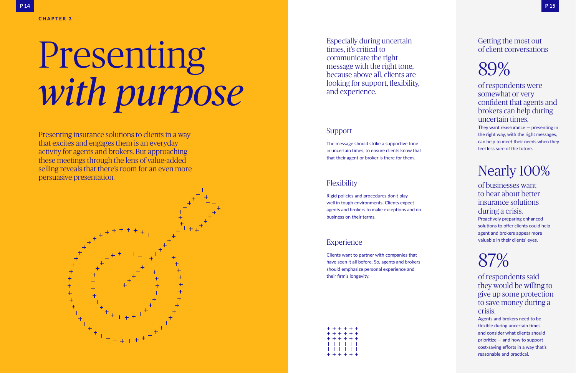#### Support

The message should strike a supportive tone in uncertain times, to ensure clients know that that their agent or broker is there for them.

#### Flexibility

Rigid policies and procedures don't play well in tough environments. Clients expect agents and brokers to make exceptions and do business on their terms.

#### **Experience**

Clients want to partner with companies that have seen it all before. So, agents and brokers should emphasize personal experience and their firm's longevity.

| + + + + + + |
|-------------|
| + + + + + + |
| + + + + + + |
| + + + + + + |
| + + + + + + |
| + + + + + + |

They want reassurance  $-$  presenting in the right way, with the right messages, can help to meet their needs when they feel less sure of the future.

Especially during uncertain times, it's critical to communicate the right message with the right tone, because above all, clients are looking for support, flexibility, and experience.

#### Getting the most out of client conversations



of respondents were somewhat or very confident that agents and brokers can help during uncertain times.

### Nearly 100%

of businesses want to hear about better insurance solutions during a crisis.

Proactively preparing enhanced solutions to offer clients could help agent and brokers appear more valuable in their clients' eyes.

## 87%

of respondents said they would be willing to give up some protection to save money during a crisis.

Agents and brokers need to be flexible during uncertain times and consider what clients should prioritize — and how to support cost-saving efforts in a way that's reasonable and practical.

# Presenting *with purpose*

Presenting insurance solutions to clients in a way that excites and engages them is an everyday activity for agents and brokers. But approaching these meetings through the lens of value-added selling reveals that there's room for an even more persuasive presentation.

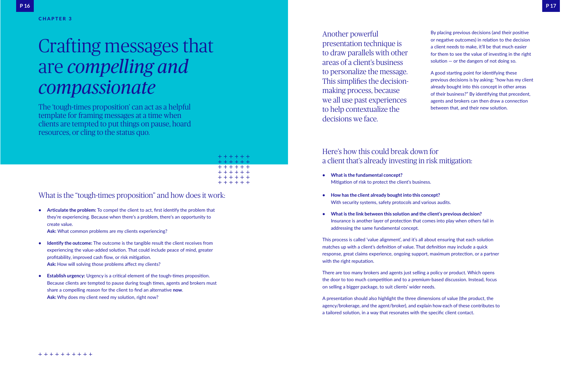# Crafting messages that are *compelling and compassionate*

The 'tough-times proposition' can act as a helpful template for framing messages at a time when clients are tempted to put things on pause, hoard resources, or cling to the status quo.



- **• Identify the outcome:** The outcome is the tangible result the client receives from experiencing the value-added solution. That could include peace of mind, greater profitability, improved cash flow, or risk mitigation. Ask: How will solving those problems affect my clients?
- **• Establish urgency:** Urgency is a critical element of the tough-times proposition. Because clients are tempted to pause during tough times, agents and brokers must share a compelling reason for the client to find an alternative **now**. Ask: Why does my client need my solution, right now?

**• Articulate the problem:** To compel the client to act, first identify the problem that they're experiencing. Because when there's a problem, there's an opportunity to create value.

Ask: What common problems are my clients experiencing?

#### What is the "tough-times proposition" and how does it work:

Another powerful presentation technique is to draw parallels with other areas of a client's business to personalize the message. This simplifies the decisionmaking process, because we all use past experiences to help contextualize the decisions we face.

By placing previous decisions (and their positive or negative outcomes) in relation to the decision a client needs to make, it'll be that much easier for them to see the value of investing in the right solution — or the dangers of not doing so.

A good starting point for identifying these previous decisions is by asking: "how has my client already bought into this concept in other areas of their business?" By identifying that precedent, agents and brokers can then draw a connection between that, and their new solution.

#### Here's how this could break down for a client that's already investing in risk mitigation:

- **• What is the fundamental concept?**  Mitigation of risk to protect the client's business.
- **• How has the client already bought into this concept?** With security systems, safety protocols and various audits.
- **• What is the link between this solution and the client's previous decision?**  Insurance is another layer of protection that comes into play when others fail in addressing the same fundamental concept.

This process is called 'value alignment', and it's all about ensuring that each solution matches up with a client's definition of value. That definition may include a quick response, great claims experience, ongoing support, maximum protection, or a partner with the right reputation.

There are too many brokers and agents just selling a policy or product. Which opens the door to too much competition and to a premium-based discussion. Instead, focus on selling a bigger package, to suit clients' wider needs.

A presentation should also highlight the three dimensions of value (the product, the agency/brokerage, and the agent/broker), and explain how each of these contributes to a tailored solution, in a way that resonates with the specific client contact.

#### CHAPTER 3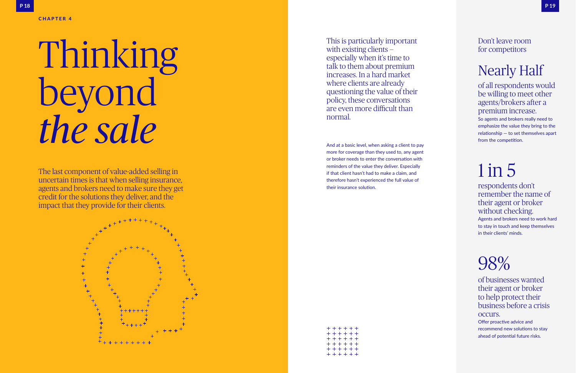And at a basic level, when asking a client to pay more for coverage than they used to, any agent or broker needs to enter the conversation with reminders of the value they deliver. Especially if that client hasn't had to make a claim, and therefore hasn't experienced the full value of their insurance solution.

| + + + + + +   |
|---------------|
| + + + + + +   |
| + + + + + +   |
| + + + + + +   |
| + + + + + +   |
| $+ + + + + +$ |

respondents don't remember the name of their agent or broker without checking.

This is particularly important with existing clients especially when it's time to talk to them about premium increases. In a hard market where clients are already questioning the value of their policy, these conversations are even more difficult than normal.

#### Don't leave room for competitors

### Nearly Half

of all respondents would be willing to meet other agents/brokers after a premium increase. So agents and brokers really need to emphasize the value they bring to the relationship — to set themselves apart from the competition.

# 1 in 5

Agents and brokers need to work hard to stay in touch and keep themselves in their clients' minds.

## 98%

of businesses wanted their agent or broker to help protect their business before a crisis occurs. Offer proactive advice and recommend new solutions to stay ahead of potential future risks.

# Thinking beyond *the sale*

CHAPTER 4

The last component of value-added selling in uncertain times is that when selling insurance, agents and brokers need to make sure they get credit for the solutions they deliver, and the impact that they provide for their clients.

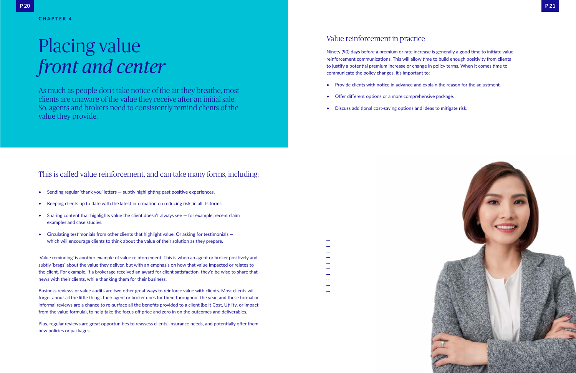- Sending regular 'thank you' letters subtly highlighting past positive experiences.
- Keeping clients up to date with the latest information on reducing risk, in all its forms.
- Sharing content that highlights value the client doesn't always see for example, recent claim examples and case studies.
- Circulating testimonials from other clients that highlight value. Or asking for testimonials which will encourage clients to think about the value of their solution as they prepare.

#### This is called value reinforcement, and can take many forms, including:

# Placing value *front and center*

As much as people don't take notice of the air they breathe, most clients are unaware of the value they receive after an initial sale. So, agents and brokers need to consistently remind clients of the value they provide.



'Value reminding' is another example of value reinforcement. This is when an agent or broker positively and subtly 'brags' about the value they deliver, but with an emphasis on how that value impacted or relates to the client. For example, if a brokerage received an award for client satisfaction, they'd be wise to share that news with their clients, while thanking them for their business.

Business reviews or value audits are two other great ways to reinforce value with clients. Most clients will forget about all the little things their agent or broker does for them throughout the year, and these formal or informal reviews are a chance to re-surface all the benefits provided to a client (be it Cost, Utility, or Impact from the value formula), to help take the focus off price and zero in on the outcomes and deliverables.

Plus, regular reviews are great opportunities to reassess clients' insurance needs, and potentially offer them new policies or packages.

#### Value reinforcement in practice

Ninety (90) days before a premium or rate increase is generally a good time to initiate value reinforcement communications. This will allow time to build enough positivity from clients to justify a potential premium increase or change in policy terms. When it comes time to communicate the policy changes, it's important to:

- Provide clients with notice in advance and explain the reason for the adjustment.
- Offer different options or a more comprehensive package.
- Discuss additional cost-saving options and ideas to mitigate risk.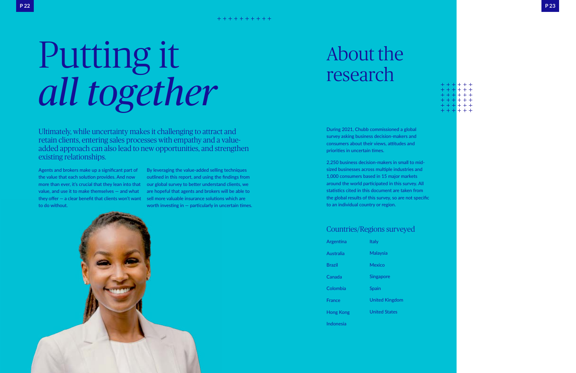# Putting it *all together*

By leveraging the value-added selling techniques outlined in this report, and using the findings from our global survey to better understand clients, we are hopeful that agents and brokers will be able to sell more valuable insurance solutions which are worth investing in  $-$  particularly in uncertain times.



Agents and brokers make up a significant part of the value that each solution provides. And now more than ever, it's crucial that they lean into that value, and use it to make themselves — and what they offer — a clear benefit that clients won't want to do without.

Ultimately, while uncertainty makes it challenging to attract and retain clients, entering sales processes with empathy and a valueadded approach can also lead to new opportunities, and strengthen existing relationships.

# About the research

During 2021, Chubb commissioned a global survey asking business decision-makers and consumers about their views, attitudes and priorities in uncertain times.

2,250 business decision-makers in small to midsized businesses across multiple industries and 1,000 consumers based in 15 major markets around the world participated in this survey. All statistics cited in this document are taken from the global results of this survey, so are not specific to an individual country or region.

**P 23**

#### Countries/Regions surveyed

| Argentina        | Italy                 |
|------------------|-----------------------|
| Australia        | Malaysia              |
| Brazil           | Mexico                |
| Canada           | <b>Singapore</b>      |
| Colombia         | Spain                 |
| <b>France</b>    | <b>United Kingdom</b> |
| Hong Kong        | <b>United States</b>  |
| <b>Indonesia</b> |                       |